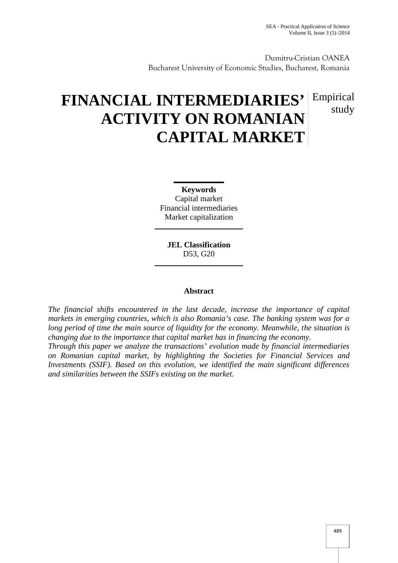study

Dumitru-Cristian OANEA Bucharest University of Economic Studies, Bucharest, Romania

# **FINANCIAL INTERMEDIARIES'** Empirical **ACTIVITY ON ROMANIAN CAPITAL MARKET**

**Keywords** Capital market Financial intermediaries Market capitalization

**JEL Classification** D53, G20

# **Abstract**

*The financial shifts encountered in the last decade, increase the importance of capital markets in emerging countries, which is also Romania's case. The banking system was for a long period of time the main source of liquidity for the economy. Meanwhile, the situation is changing due to the importance that capital market has in financing the economy.*

*Through this paper we analyze the transactions' evolution made by financial intermediaries on Romanian capital market, by highlighting the Societies for Financial Services and Investments (SSIF). Based on this evolution, we identified the main significant differences and similarities between the SSIFs existing on the market.*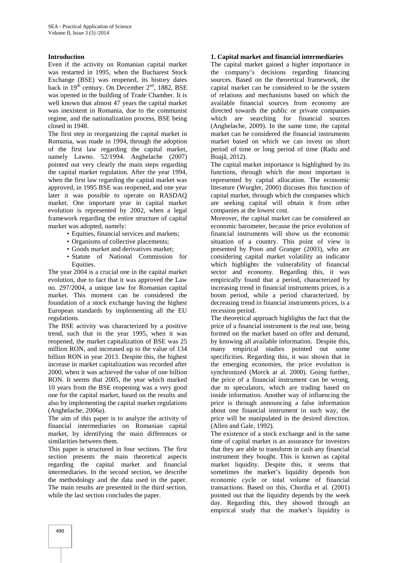# **Introduction**

Even if the activity on Romanian capital market was restarted in 1995, when the Bucharest Stock Exchange (BSE) was reopened, its history dates back in  $19<sup>th</sup>$  century. On December  $2<sup>nd</sup>$ , 1882, BSE was opened in the building of Trade Chamber. It is well known that almost 47 years the capital market was inexistent in Romania, due to the communist regime, and the nationalization process, BSE being closed in 1948.

The first step in reorganizing the capital market in Romania, was made in 1994, through the adoption of the first law regarding the capital market, namely Lawno. 52/1994. Anghelache (2007) pointed out very clearly the main steps regarding the capital market regulation. After the year 1994, when the first law regarding the capital market was approved, in 1995 BSE was reopened, and one year later it was possible to operate on RASDAQ market. One important year in capital market evolution is represented by 2002, when a legal framework regarding the entire structure of capital market was adopted, namely:

- Equities, financial services and markets;
- Organisms of collective placements;
- Goods market and derivatives market;
- Statute of National Commission for Equities.

The year 2004 is a crucial one in the capital market evolution, due to fact that it was approved the Law no. 297/2004, a unique law for Romanian capital market. This moment can be considered the foundation of a stock exchange having the highest European standards by implementing all the EU regulations.

The BSE activity was characterized by a positive trend, such that in the year 1995, when it was reopened, the market capitalization of BSE was 25 million RON, and increased up to the value of 134 billion RON in year 2013. Despite this, the highest increase in market capitalization was recorded after 2000, when it was achieved the value of one billion RON. It seems that 2005, the year which marked 10 years from the BSE reopening was a very good one for the capital market, based on the results and also by implementing the capital market regulations (Anghelache, 2006a).

The aim of this paper is to analyze the activity of financial intermediaries on Romanian capital market, by identifying the main differences or similarities between them.

This paper is structured in four sections. The first section presents the main theoretical aspects regarding the capital market and financial intermediaries. In the second section, we describe the methodology and the data used in the paper. The main results are presented in the third section, while the last section concludes the paper.

#### **1. Capital market and financial intermediaries**

The capital market gained a higher importance in the company's decisions regarding financing sources. Based on the theoretical framework, the capital market can be considered to be the system of relations and mechanisms based on which the available financial sources from economy are directed towards the public or private companies which are searching for financial sources (Anghelache, 2009). In the same time, the capital market can be considered the financial instruments market based on which we can invest on short period of time or long period of time (Radu and Boaj , 2012).

The capital market importance is highlighted by its functions, through which the most important is represented by capital allocation. The economic literature (Wurgler, 2000) discuses this function of capital market, through which the companies which are seeking capital will obtain it from other companies at the lowest cost.

Moreover, the capital market can be considered an economic barometer, because the price evolution of financial instruments will show us the economic situation of a country. This point of view is presented by Poon and Granger (2003), who are considering capital market volatility an indicator which highlights the vulnerability of financial sector and economy. Regarding this, it was empirically found that a period, characterized by increasing trend in financial instruments prices, is a boom period, while a period characterized, by decreasing trend in financial instruments prices, is a recession period.

The theoretical approach highlights the fact that the price of a financial instrument is the real one, being formed on the market based on offer and demand, by knowing all available information. Despite this, many empirical studies pointed out some specificities. Regarding this, it was shown that in the emerging economies, the price evolution is synchronized (Morck at al. 2000). Going further, the price of a financial instrument can be wrong, due to speculators, which are trading based on inside information. Another way of influencing the price is through announcing a false information about one financial instrument in such way, the price will be manipulated in the desired direction. (Allen and Gale, 1992).

The existence of a stock exchange and in the same time of capital market is an assurance for investors that they are able to transform in cash any financial instrument they bought. This is known as capital market liquidity. Despite this, it seems that sometimes the market's liquidity depends bon economic cycle or total volume of financial transactions. Based on this, Chordia et al. (2001) pointed out that the liquidity depends by the week day. Regarding this, they showed through an empirical study that the market's liquidity is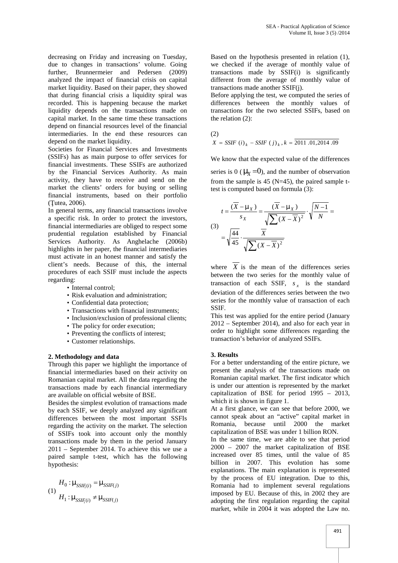decreasing on Friday and increasing on Tuesday, due to changes in transactions' volume. Going further, Brunnermeier and Pedersen (2009) analyzed the impact of financial crisis on capital market liquidity. Based on their paper, they showed that during financial crisis a liquidity spiral was recorded. This is happening because the market liquidity depends on the transactions made on capital market. In the same time these transactions depend on financial resources level of the financial intermediaries. In the end these resources can depend on the market liquidity.

Societies for Financial Services and Investments (SSIFs) has as main purpose to offer services for financial investments. These SSIFs are authorized by the Financial Services Authority. As main activity, they have to receive and send on the market the clients' orders for buying or selling financial instruments, based on their portfolio  $($  utea, 2006).

In general terms, any financial transactions involve a specific risk. In order to protect the investors, financial intermediaries are obliged to respect some prudential regulation established by Financial Services Authority. As Anghelache (2006b) highlights in her paper, the financial intermediaries must activate in an honest manner and satisfy the client's needs. Because of this, the internal procedures of each SSIF must include the aspects regarding:

• Internal control:

- Risk evaluation and administration;
- Confidential data protection;
- Transactions with financial instruments;
- Inclusion/exclusion of professional clients;
- The policy for order execution;
- Preventing the conflicts of interest;
- Customer relationships.

# **2. Methodology and data**

Through this paper we highlight the importance of financial intermediaries based on their activity on Romanian capital market. All the data regarding the transactions made by each financial intermediary are available on official website of BSE.

Besides the simplest evolution of transactions made by each SSIF, we deeply analyzed any significant differences between the most important SSFIs regarding the activity on the market. The selection of SSIFs took into account only the monthly transactions made by them in the period January 2011 – September 2014. To achieve this we use a paired sample t-test, which has the following hypothesis:

$$
H_0: \sim_{\text{SSIF}_i(i)} = \sim_{\text{SSIF}(j)} \quad \text{Ron} \quad \text{From} \quad H_1: \sim_{\text{SSIF}_i(i)} \neq \sim_{\text{SSIF}(j)} \quad \text{and} \quad \text{and} \quad \text{and} \quad \text{and} \quad \text{and} \quad \text{and} \quad \text{and} \quad \text{and} \quad \text{and} \quad \text{and} \quad \text{and} \quad \text{and} \quad \text{and} \quad \text{and} \quad \text{and} \quad \text{and} \quad \text{and} \quad \text{and} \quad \text{and} \quad \text{and} \quad \text{and} \quad \text{and} \quad \text{and} \quad \text{and} \quad \text{and} \quad \text{and} \quad \text{and} \quad \text{and} \quad \text{and} \quad \text{and} \quad \text{and} \quad \text{and} \quad \text{and} \quad \text{and} \quad \text{and} \quad \text{and} \quad \text{and} \quad \text{and} \quad \text{and} \quad \text{and} \quad \text{and} \quad \text{and} \quad \text{and} \quad \text{and} \quad \text{and} \quad \text{and} \quad \text{and} \quad \text{and} \quad \text{and} \quad \text{and} \quad \text{and} \quad \text{and} \quad \text{and} \quad \text{and} \quad \text{and} \quad \text{and} \quad \text{and} \quad \text{and} \quad \text{and} \quad \text{and} \quad \text{and} \quad \text{and} \quad \text{and} \quad \text{and} \quad \text{and} \quad \text{and} \quad \text{and} \quad \text{and} \quad \text{and} \quad \text{and} \quad \text{and} \quad \text{and} \quad \text{and} \quad \text{and} \quad \text{and} \quad \text{and} \quad \text{and} \quad \text{and} \quad \text{and} \quad \text{and} \quad \text{and} \quad \text{and} \quad \text{and} \quad \text{and} \quad \text{and} \quad \text{and} \quad \text{and} \quad \text{and} \quad \text{and} \quad \text{and} \quad \text{and} \quad \text{and} \quad \text{and} \quad \text{and} \quad \text{and} \quad \text{and} \quad \text{and} \quad \text{
$$

Based on the hypothesis presented in relation (1), we checked if the average of monthly value of transactions made by SSIF(i) is significantly different from the average of monthly value of transactions made another SSIF(j).

Before applying the test, we computed the series of differences between the monthly values of transactions for the two selected SSIFs, based on the relation (2):

(2)

$$
X = SSIF (i)k - SSIF (j)k, k = 2011.01,2014.09
$$

We know that the expected value of the differences

series is 0 ( $\sim_X = 0$ ), and the number of observation from the sample is 45 ( $N=45$ ), the paired sample ttest is computed based on formula (3):

$$
t = \frac{(\overline{X} - \gamma_X)}{s_X} = \frac{(\overline{X} - \gamma_X)}{\sqrt{\sum (X - \overline{X})^2}} \cdot \sqrt{\frac{N - 1}{N}} =
$$
  
(3)
$$
= \sqrt{\frac{44}{45}} \cdot \frac{\overline{X}}{\sqrt{\sum (X - \overline{X})^2}}
$$

where  $X$  is the mean of the differences series between the two series for the monthly value of transaction of each SSIF,  $s<sub>x</sub>$  is the standard deviation of the differences series between the two series for the monthly value of transaction of each SSIF.

This test was applied for the entire period (January 2012 – September 2014), and also for each year in order to highlight some differences regarding the transaction's behavior of analyzed SSIFs.

# **3. Results**

For a better understanding of the entire picture, we present the analysis of the transactions made on Romanian capital market. The first indicator which is under our attention is represented by the market capitalization of BSE for period 1995 – 2013, which it is shown in figure 1.

At a first glance, we can see that before 2000, we cannot speak about an "active" capital market in Romania, because until 2000 the market capitalization of BSE was under 1 billion RON.

In the same time, we are able to see that period 2000 – 2007 the market capitalization of BSE increased over 85 times, until the value of 85 billion in 2007. This evolution has some explanations. The main explanation is represented by the process of EU integration. Due to this, Romania had to implement several regulations imposed by EU. Because of this, in 2002 they are adopting the first regulation regarding the capital market, while in 2004 it was adopted the Law no.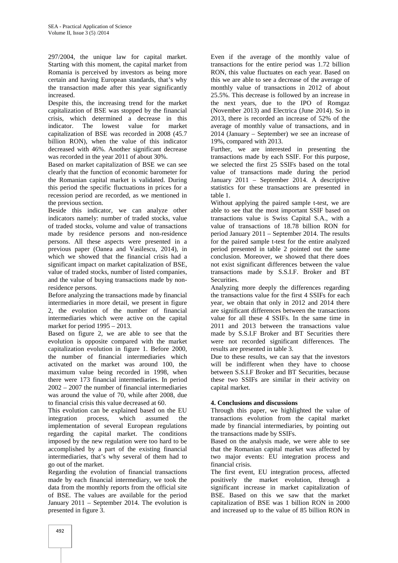297/2004, the unique law for capital market. Starting with this moment, the capital market from Romania is perceived by investors as being more certain and having European standards, that's why the transaction made after this year significantly increased.

Despite this, the increasing trend for the market capitalization of BSE was stopped by the financial crisis, which determined a decrease in this indicator. The lowest value for market capitalization of BSE was recorded in 2008 (45.7 billion RON), when the value of this indicator decreased with 46%. Another significant decrease was recorded in the year 2011 of about 30%.

Based on market capitalization of BSE we can see clearly that the function of economic barometer for the Romanian capital market is validated. During this period the specific fluctuations in prices for a recession period are recorded, as we mentioned in the previous section.

Beside this indicator, we can analyze other indicators namely: number of traded stocks, value of traded stocks, volume and value of transactions made by residence persons and non-residence persons. All these aspects were presented in a previous paper (Oanea and Vasilescu, 2014), in which we showed that the financial crisis had a significant impact on market capitalization of BSE, value of traded stocks, number of listed companies, and the value of buying transactions made by nonresidence persons.

Before analyzing the transactions made by financial intermediaries in more detail, we present in figure 2, the evolution of the number of financial intermediaries which were active on the capital market for period 1995 – 2013.

Based on figure 2, we are able to see that the evolution is opposite compared with the market capitalization evolution in figure 1. Before 2000, the number of financial intermediaries which activated on the market was around 100, the maximum value being recorded in 1998, when there were 173 financial intermediaries. In period 2002 – 2007 the number of financial intermediaries was around the value of 70, while after 2008, due to financial crisis this value decreased at 60.

This evolution can be explained based on the EU integration process, which assumed the implementation of several European regulations regarding the capital market. The conditions imposed by the new regulation were too hard to be accomplished by a part of the existing financial intermediaries, that's why several of them had to go out of the market.

Regarding the evolution of financial transactions made by each financial intermediary, we took the data from the monthly reports from the official site of BSE. The values are available for the period January 2011 – September 2014. The evolution is presented in figure 3.

Even if the average of the monthly value of transactions for the entire period was 1.72 billion RON, this value fluctuates on each year. Based on this we are able to see a decrease of the average of monthly value of transactions in 2012 of about 25.5%. This decrease is followed by an increase in the next years, due to the IPO of Romgaz (November 2013) and Electrica (June 2014). So in 2013, there is recorded an increase of 52% of the average of monthly value of transactions, and in 2014 (January – September) we see an increase of 19%, compared with 2013.

Further, we are interested in presenting the transactions made by each SSIF. For this purpose, we selected the first 25 SSIFs based on the total value of transactions made during the period January 2011 – September 2014. A descriptive statistics for these transactions are presented in table 1.

Without applying the paired sample t-test, we are able to see that the most important SSIF based on transactions value is Swiss Capital S.A., with a value of transactions of 18.78 billion RON for period January 2011 – September 2014. The results for the paired sample t-test for the entire analyzed period presented in table 2 pointed out the same conclusion. Moreover, we showed that there does not exist significant differences between the value transactions made by S.S.I.F. Broker and BT Securities.

Analyzing more deeply the differences regarding the transactions value for the first 4 SSIFs for each year, we obtain that only in 2012 and 2014 there are significant differences between the transactions value for all these 4 SSIFs. In the same time in 2011 and 2013 between the transactions value made by S.S.I.F Broker and BT Securities there were not recorded significant differences. The results are presented in table 3.

Due to these results, we can say that the investors will be indifferent when they have to choose between S.S.I.F Broker and BT Securities, because these two SSIFs are similar in their activity on capital market.

# **4. Conclusions and discussions**

Through this paper, we highlighted the value of transactions evolution from the capital market made by financial intermediaries, by pointing out the transactions made by SSIFs.

Based on the analysis made, we were able to see that the Romanian capital market was affected by two major events: EU integration process and financial crisis.

The first event, EU integration process, affected positively the market evolution, through a significant increase in market capitalization of BSE. Based on this we saw that the market capitalization of BSE was 1 billion RON in 2000 and increased up to the value of 85 billion RON in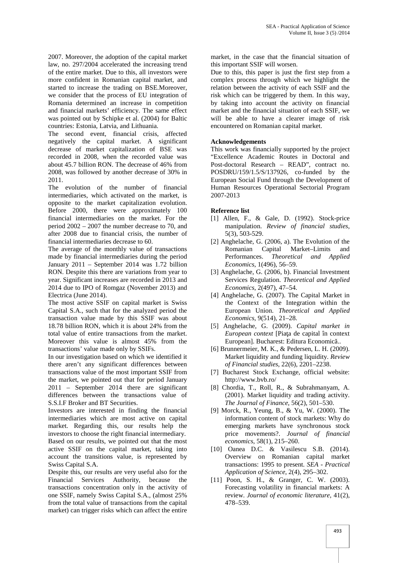2007. Moreover, the adoption of the capital market law, no. 297/2004 accelerated the increasing trend of the entire market. Due to this, all investors were more confident in Romanian capital market, and started to increase the trading on BSE.Moreover, we consider that the process of EU integration of Romania determined an increase in competition and financial markets' efficiency. The same effect was pointed out by Schipke et al. (2004) for Baltic countries: Estonia, Latvia, and Lithuania.

The second event, financial crisis, affected negatively the capital market. A significant decrease of market capitalization of BSE was recorded in 2008, when the recorded value was about 45.7 billion RON. The decrease of 46% from 2008, was followed by another decrease of 30% in 2011.

The evolution of the number of financial intermediaries, which activated on the market, is opposite to the market capitalization evolution. Before 2000, there were approximately 100 financial intermediaries on the market. For the period 2002 – 2007 the number decrease to 70, and after 2008 due to financial crisis, the number of financial intermediaries decrease to 60.

The average of the monthly value of transactions made by financial intermediaries during the period January 2011 – September 2014 was 1.72 billion RON. Despite this there are variations from year to year. Significant increases are recorded in 2013 and 2014 due to IPO of Romgaz (November 2013) and Electrica (June 2014).

The most active SSIF on capital market is Swiss Capital S.A., such that for the analyzed period the transaction value made by this SSIF was about 18.78 billion RON, which it is about 24% from the total value of entire transactions from the market. Moreover this value is almost 45% from the transactions' value made only by SSIFs.

In our investigation based on which we identified it there aren't any significant differences between transactions value of the most important SSIF from the market, we pointed out that for period January 2011 – September 2014 there are significant differences between the transactions value of S.S.I.F Broker and BT Securities.

Investors are interested in finding the financial intermediaries which are most active on capital market. Regarding this, our results help the investors to choose the right financial intermediary. Based on our results, we pointed out that the most active SSIF on the capital market, taking into account the transitions value, is represented by Swiss Capital S.A.

Despite this, our results are very useful also for the Financial Services Authority, because the transactions concentration only in the activity of one SSIF, namely Swiss Capital S.A., (almost 25% from the total value of transactions from the capital market) can trigger risks which can affect the entire

market, in the case that the financial situation of this important SSIF will worsen.

Due to this, this paper is just the first step from a complex process through which we highlight the relation between the activity of each SSIF and the risk which can be triggered by them. In this way, by taking into account the activity on financial market and the financial situation of each SSIF, we will be able to have a clearer image of risk encountered on Romanian capital market.

# **Acknowledgements**

This work was financially supported by the project "Excellence Academic Routes in Doctoral and Post-doctoral Research – READ", contract no. POSDRU/159/1.5/S/137926, co-funded by the European Social Fund through the Development of Human Resources Operational Sectorial Program 2007-2013

# **Reference list**

- [1] Allen, F., & Gale, D. (1992). Stock-price manipulation. *Review of financial studies*, 5(3), 503-529.
- [2] Anghelache, G. (2006, a). The Evolution of the Romanian Capital Market–Limits and Performances. *Theoretical and Applied Economics*, 1(496), 56–59.
- [3] Anghelache, G. (2006, b). Financial Investment Services Regulation. *Theoretical and Applied Economics*, 2(497), 47–54.
- [4] Anghelache, G. (2007). The Capital Market in the Context of the Integration within the European Union. *Theoretical and Applied Economics*, 9(514), 21–28.
- [5] Anghelache, G. (2009). *Capital market in European context* [Pia a de capital în context European]. Bucharest: Editura Economic ...
- [6] Brunnermeier, M. K., & Pedersen, L. H. (2009). Market liquidity and funding liquidity. *Review of Financial studies*, 22(6), 2201–2238.
- [7] Bucharest Stock Exchange, official website: http://www.bvb.ro/
- [8] Chordia, T., Roll, R., & Subrahmanyam, A. (2001). Market liquidity and trading activity. *The Journal of Finance*, 56(2), 501–530.
- [9] Morck, R., Yeung, B., & Yu, W. (2000). The information content of stock markets: Why do emerging markets have synchronous stock price movements?. *Journal of financial economics*, 58(1), 215–260.
- [10] Oanea D.C. & Vasilescu S.B. (2014). Overview on Romanian capital market transactions: 1995 to present. *SEA - Practical Application of Science*, 2(4), 295–302.
- [11] Poon, S. H., & Granger, C. W. (2003). Forecasting volatility in financial markets: A review. *Journal of economic literature*, 41(2), 478–539.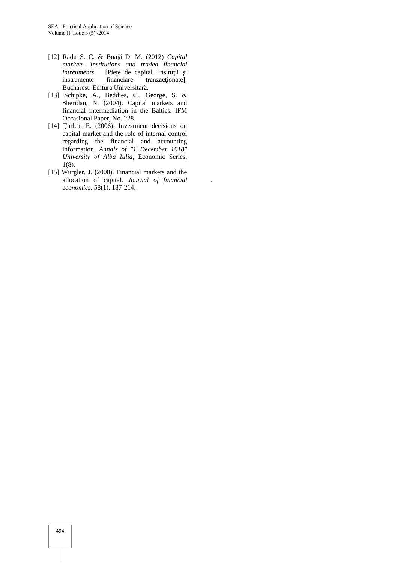- [12] Radu S. C. & Boaj D. M. (2012) *Capital markets. Institutions and traded financial* [Pie e de capital. Insitu ii i instrumente financiare tranzac ionate]. Bucharest: Editura Universitar.
- [13] Schipke, A., Beddies, C., George, S. & Sheridan, N. (2004). Capital markets and financial intermediation in the Baltics. IFM Occasional Paper, No. 228.
- [14] urlea, E. (2006). Investment decisions on capital market and the role of internal control regarding the financial and accounting information. *Annals of "1 December 1918" University of Alba Iulia*, Economic Series, 1(8).
- [15] Wurgler, J. (2000). Financial markets and the allocation of capital. *Journal of financial economics*, 58(1), 187-214.

.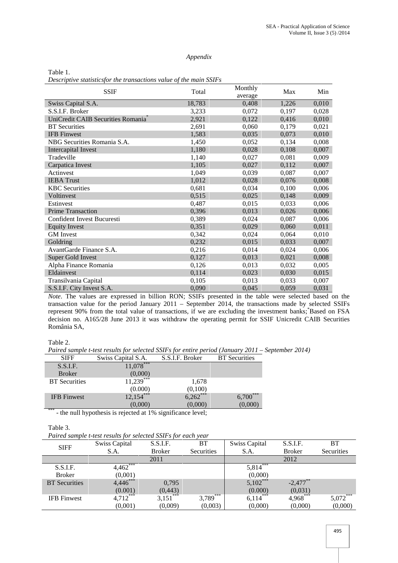### *Appendix*

Table 1. *Descriptive statisticsfor the transactions value of the main SSIFs*

| <b>SSIF</b>                                    | Total  | Monthly<br>average | Max   | Min   |
|------------------------------------------------|--------|--------------------|-------|-------|
| Swiss Capital S.A.                             | 18,783 | 0,408              | 1,226 | 0,010 |
| S.S.I.F. Broker                                | 3,233  | 0.072              | 0,197 | 0,028 |
| UniCredit CAIB Securities Romania <sup>®</sup> | 2,921  | 0,122              | 0,416 | 0,010 |
| <b>BT</b> Securities                           | 2,691  | 0,060              | 0,179 | 0,021 |
| <b>IFB</b> Finwest                             | 1,583  | 0,035              | 0,073 | 0,010 |
| NBG Securities Romania S.A.                    | 1,450  | 0,052              | 0,134 | 0,008 |
| Intercapital Invest                            | 1,180  | 0,028              | 0,108 | 0,007 |
| Tradeville                                     | 1,140  | 0,027              | 0,081 | 0,009 |
| Carpatica Invest                               | 1,105  | 0,027              | 0,112 | 0,007 |
| Actinvest                                      | 1,049  | 0,039              | 0,087 | 0,007 |
| <b>IEBA</b> Trust                              | 1,012  | 0,028              | 0,076 | 0,008 |
| <b>KBC</b> Securities                          | 0,681  | 0,034              | 0,100 | 0,006 |
| Voltinvest                                     | 0,515  | 0,025              | 0,148 | 0,009 |
| Estinvest                                      | 0,487  | 0,015              | 0,033 | 0,006 |
| <b>Prime Transaction</b>                       | 0,396  | 0,013              | 0,026 | 0,006 |
| Confident Invest Bucuresti                     | 0,389  | 0,024              | 0,087 | 0,006 |
| <b>Equity Invest</b>                           | 0,351  | 0,029              | 0,060 | 0,011 |
| <b>GM</b> Invest                               | 0,342  | 0,024              | 0,064 | 0,010 |
| Goldring                                       | 0,232  | 0,015              | 0,033 | 0,007 |
| AvantGarde Finance S.A.                        | 0,216  | 0,014              | 0,024 | 0,006 |
| <b>Super Gold Invest</b>                       | 0,127  | 0,013              | 0,021 | 0,008 |
| Alpha Finance Romania                          | 0,126  | 0,013              | 0,032 | 0,005 |
| Eldainvest                                     | 0,114  | 0,023              | 0,030 | 0,015 |
| Transilvania Capital                           | 0,105  | 0,013              | 0,033 | 0,007 |
| S.S.I.F. City Invest S.A.                      | 0,090  | 0,045              | 0,059 | 0,031 |

*Note*. The values are expressed in billion RON; SSIFs presented in the table were selected based on the transaction value for the period January 2011 – September 2014, the transactions made by selected SSIFs represent 90% from the total value of transactions, if we are excluding the investment banks; Based on FSA decision no. A165/28 June 2013 it was withdraw the operating permit for SSIF Unicredit CAIB Securities România SA,

# Table 2.

*Paired sample t-test results for selected SSIFs for entire period (January 2011 – September 2014)*

| <b>SIFF</b>              | Swiss Capital S.A. | S.S.I.F. Broker | <b>BT</b> Securities |  |
|--------------------------|--------------------|-----------------|----------------------|--|
| S.S.I.F.                 | $11,078***$        |                 |                      |  |
| <b>Broker</b>            | (0,000)            |                 |                      |  |
| <b>BT</b> Securities     | $11,239$ ***       | 1,678           |                      |  |
|                          | (0.000)            | (0,100)         |                      |  |
| <b>IFB</b> Finwest       | $12,154***$        | $6,262***$      | ***<br>6,700         |  |
| $\overline{\phantom{a}}$ | (0.000)            | (0.000)         | (0,000)              |  |

\*\*\* - the null hypothesis is rejected at 1% significance level;

#### Table 3.

|  | Paired sample t-test results for selected SSIFs for each year |  |
|--|---------------------------------------------------------------|--|
|  |                                                               |  |

| <b>SIFF</b>          | <b>Swiss Capital</b> | S.S.I.F.      | <b>BT</b>  | <b>Swiss Capital</b> | S.S.I.F.      | <b>BT</b>  |
|----------------------|----------------------|---------------|------------|----------------------|---------------|------------|
|                      | S.A.                 | <b>Broker</b> | Securities | S.A.                 | <b>Broker</b> | Securities |
|                      |                      | 2011          |            |                      | 2012          |            |
| S.S.I.F.             | 4,462                |               |            | $5,814***$           |               |            |
| <b>Broker</b>        | (0,001)              |               |            | (0,000)              |               |            |
| <b>BT</b> Securities | $4,446***$           | 0,795         |            | $5,102***$           | $-2,477$ **   |            |
|                      | (0.001)              | (0, 443)      |            | (0.000)              | (0,031)       |            |
| <b>IFB</b> Finwest   | $4,712***$           | $3,151***$    | $3,789***$ | $6,114***$           | 4,968***      | $5,072***$ |
|                      | (0,001)              | (0,009)       | (0,003)    | (0,000)              | (0,000)       | (0,000)    |